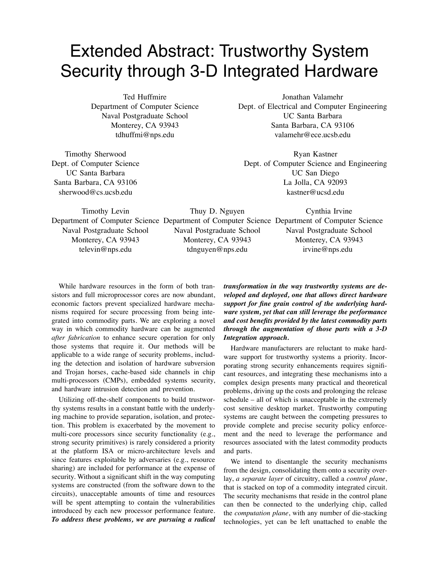## Extended Abstract: Trustworthy System Security through 3-D Integrated Hardware

Ted Huffmire Department of Computer Science Naval Postgraduate School Monterey, CA 93943 tdhuffmi@nps.edu

Jonathan Valamehr Dept. of Electrical and Computer Engineering UC Santa Barbara Santa Barbara, CA 93106 valamehr@ece.ucsb.edu

Timothy Sherwood Dept. of Computer Science UC Santa Barbara Santa Barbara, CA 93106 sherwood@cs.ucsb.edu

Ryan Kastner Dept. of Computer Science and Engineering UC San Diego La Jolla, CA 92093 kastner@ucsd.edu

Timothy Levin Naval Postgraduate School Monterey, CA 93943 televin@nps.edu

Thuy D. Nguyen Naval Postgraduate School Monterey, CA 93943 tdnguyen@nps.edu

Department of Computer Science Department of Computer Science Department of Computer Science Cynthia Irvine Naval Postgraduate School Monterey, CA 93943 irvine@nps.edu

While hardware resources in the form of both transistors and full microprocessor cores are now abundant, economic factors prevent specialized hardware mechanisms required for secure processing from being integrated into commodity parts. We are exploring a novel way in which commodity hardware can be augmented *after fabrication* to enhance secure operation for only those systems that require it. Our methods will be applicable to a wide range of security problems, including the detection and isolation of hardware subversion and Trojan horses, cache-based side channels in chip multi-processors (CMPs), embedded systems security, and hardware intrusion detection and prevention.

Utilizing off-the-shelf components to build trustworthy systems results in a constant battle with the underlying machine to provide separation, isolation, and protection. This problem is exacerbated by the movement to multi-core processors since security functionality (e.g., strong security primitives) is rarely considered a priority at the platform ISA or micro-architecture levels and since features exploitable by adversaries (e.g., resource sharing) are included for performance at the expense of security. Without a significant shift in the way computing systems are constructed (from the software down to the circuits), unacceptable amounts of time and resources will be spent attempting to contain the vulnerabilities introduced by each new processor performance feature. *To address these problems, we are pursuing a radical* *transformation in the way trustworthy systems are developed and deployed, one that allows direct hardware* support for fine grain control of the underlying hard*ware system, yet that can still leverage the performance and cost benets provided by the latest commodity parts through the augmentation of those parts with a 3-D Integration approach.*

Hardware manufacturers are reluctant to make hardware support for trustworthy systems a priority. Incorporating strong security enhancements requires significant resources, and integrating these mechanisms into a complex design presents many practical and theoretical problems, driving up the costs and prolonging the release schedule – all of which is unacceptable in the extremely cost sensitive desktop market. Trustworthy computing systems are caught between the competing pressures to provide complete and precise security policy enforcement and the need to leverage the performance and resources associated with the latest commodity products and parts.

We intend to disentangle the security mechanisms from the design, consolidating them onto a security overlay, *a separate layer* of circuitry, called a *control plane*, that is stacked on top of a commodity integrated circuit. The security mechanisms that reside in the control plane can then be connected to the underlying chip, called the *computation plane*, with any number of die-stacking technologies, yet can be left unattached to enable the